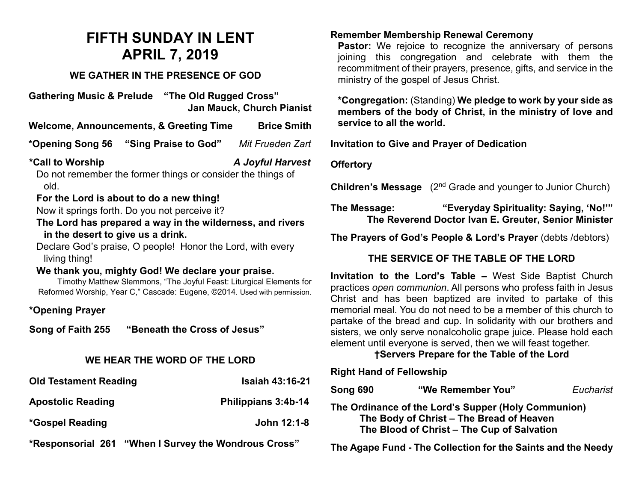# **FIFTH SUNDAY IN LENT APRIL 7, 2019**

## **WE GATHER IN THE PRESENCE OF GOD**

**Gathering Music & Prelude "The Old Rugged Cross" Jan Mauck, Church Pianist**

**Welcome, Announcements, & Greeting Time Brice Smith**

**\*Opening Song 56 "Sing Praise to God"** *Mit Frueden Zart*

**\*Call to Worship** *A Joyful Harvest*

Do not remember the former things or consider the things of old.

## **For the Lord is about to do a new thing!**

Now it springs forth. Do you not perceive it?

**The Lord has prepared a way in the wilderness, and rivers in the desert to give us a drink.**

Declare God's praise, O people! Honor the Lord, with every living thing!

#### **We thank you, mighty God! We declare your praise.**

Timothy Matthew Slemmons, "The Joyful Feast: Liturgical Elements for Reformed Worship, Year C," Cascade: Eugene, ©2014. Used with permission.

## **\*Opening Prayer**

**Song of Faith 255 "Beneath the Cross of Jesus"** 

## **WE HEAR THE WORD OF THE LORD**

| <b>Old Testament Reading</b> | <b>Isaiah 43:16-21</b> |
|------------------------------|------------------------|
| <b>Apostolic Reading</b>     | Philippians 3:4b-14    |
| *Gospel Reading              | John 12:1-8            |

**\*Responsorial 261 "When I Survey the Wondrous Cross"** 

#### **Remember Membership Renewal Ceremony**

**Pastor:** We rejoice to recognize the anniversary of persons joining this congregation and celebrate with them the recommitment of their prayers, presence, gifts, and service in the ministry of the gospel of Jesus Christ.

**\*Congregation:** (Standing) **We pledge to work by your side as members of the body of Christ, in the ministry of love and service to all the world.**

**Invitation to Give and Prayer of Dedication** 

#### **Offertory**

**Children's Message** (2<sup>nd</sup> Grade and younger to Junior Church)

**The Message: "Everyday Spirituality: Saying, 'No!'" The Reverend Doctor Ivan E. Greuter, Senior Minister**

**The Prayers of God's People & Lord's Prayer** (debts /debtors)

## **THE SERVICE OF THE TABLE OF THE LORD**

**Invitation to the Lord's Table –** West Side Baptist Church practices *open communion*. All persons who profess faith in Jesus Christ and has been baptized are invited to partake of this memorial meal. You do not need to be a member of this church to partake of the bread and cup. In solidarity with our brothers and sisters, we only serve nonalcoholic grape juice. Please hold each element until everyone is served, then we will feast together.

## **†Servers Prepare for the Table of the Lord**

#### **Right Hand of Fellowship**

| Song 690                                                                                                                                      | "We Remember You"                                            | Eucharist |
|-----------------------------------------------------------------------------------------------------------------------------------------------|--------------------------------------------------------------|-----------|
| The Ordinance of the Lord's Supper (Holy Communion)<br>The Body of Christ - The Bread of Heaven<br>The Blood of Christ - The Cup of Salvation |                                                              |           |
|                                                                                                                                               | The Agape Fund - The Collection for the Saints and the Needy |           |